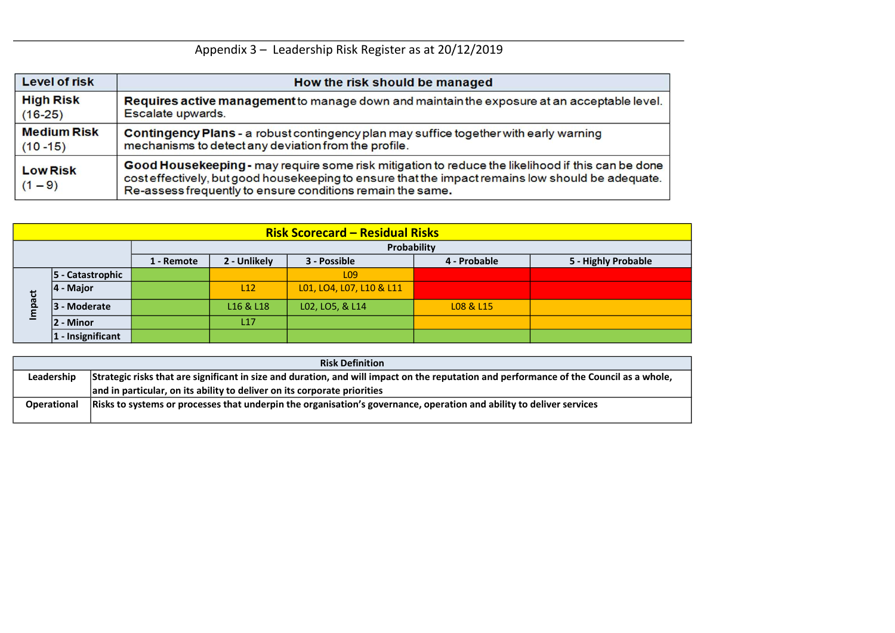|                    | <b>Risk Definition</b>                                                                                                                  |
|--------------------|-----------------------------------------------------------------------------------------------------------------------------------------|
| Leadership         | Strategic risks that are significant in size and duration, and will impact on the reputation and performance of the Council as a whole, |
|                    | and in particular, on its ability to deliver on its corporate priorities                                                                |
| <b>Operational</b> | Risks to systems or processes that underpin the organisation's governance, operation and ability to deliver services                    |
|                    |                                                                                                                                         |



# Appendix 3 – Leadership Risk Register as at 20/12/2019

| <b>Level of risk</b>         | How the risk should be managed                                                                                                                                                                                                                                       |
|------------------------------|----------------------------------------------------------------------------------------------------------------------------------------------------------------------------------------------------------------------------------------------------------------------|
| <b>High Risk</b>             | Requires active management to manage down and maintain the exposure at an acceptable level.                                                                                                                                                                          |
| $(16-25)$                    | Escalate upwards.                                                                                                                                                                                                                                                    |
| <b>Medium Risk</b>           | Contingency Plans - a robust contingency plan may suffice together with early warning                                                                                                                                                                                |
| $(10 - 15)$                  | mechanisms to detect any deviation from the profile.                                                                                                                                                                                                                 |
| <b>Low Risk</b><br>$(1 - 9)$ | Good Housekeeping - may require some risk mitigation to reduce the likelihood if this can be done<br>cost effectively, but good housekeeping to ensure that the impact remains low should be adequate.<br>Re-assess frequently to ensure conditions remain the same. |

|              |                                                                                                                                            |  |            |                              | <b>Risk Scorecard – Residual Risks</b> |              |                                                                                                                                         |  |  |  |  |  |
|--------------|--------------------------------------------------------------------------------------------------------------------------------------------|--|------------|------------------------------|----------------------------------------|--------------|-----------------------------------------------------------------------------------------------------------------------------------------|--|--|--|--|--|
|              |                                                                                                                                            |  |            |                              | Probability                            |              |                                                                                                                                         |  |  |  |  |  |
|              |                                                                                                                                            |  | 1 - Remote | 2 - Unlikely                 | 3 - Possible                           | 4 - Probable | 5 - Highly Probable                                                                                                                     |  |  |  |  |  |
|              | 5 - Catastrophic                                                                                                                           |  |            |                              | L <sub>09</sub>                        |              |                                                                                                                                         |  |  |  |  |  |
| $ 4 -$ Major |                                                                                                                                            |  | L12        | L01, LO4, L07, L10 & L11     |                                        |              |                                                                                                                                         |  |  |  |  |  |
| Impact       | 3 - Moderate                                                                                                                               |  |            | L16 & L18<br>L02, LO5, & L14 |                                        | L08 & L15    |                                                                                                                                         |  |  |  |  |  |
|              | - Minor<br>$\overline{2}$                                                                                                                  |  |            | L17                          |                                        |              |                                                                                                                                         |  |  |  |  |  |
|              | $1 -$ Insignificant                                                                                                                        |  |            |                              |                                        |              |                                                                                                                                         |  |  |  |  |  |
|              |                                                                                                                                            |  |            |                              |                                        |              |                                                                                                                                         |  |  |  |  |  |
|              |                                                                                                                                            |  |            |                              | <b>Risk Definition</b>                 |              |                                                                                                                                         |  |  |  |  |  |
|              | Leadership                                                                                                                                 |  |            |                              |                                        |              | Strategic risks that are significant in size and duration, and will impact on the reputation and performance of the Council as a whole, |  |  |  |  |  |
|              | and in particular, on its ability to deliver on its corporate priorities                                                                   |  |            |                              |                                        |              |                                                                                                                                         |  |  |  |  |  |
|              | Risks to systems or processes that underpin the organisation's governance, operation and ability to deliver services<br><b>Operational</b> |  |            |                              |                                        |              |                                                                                                                                         |  |  |  |  |  |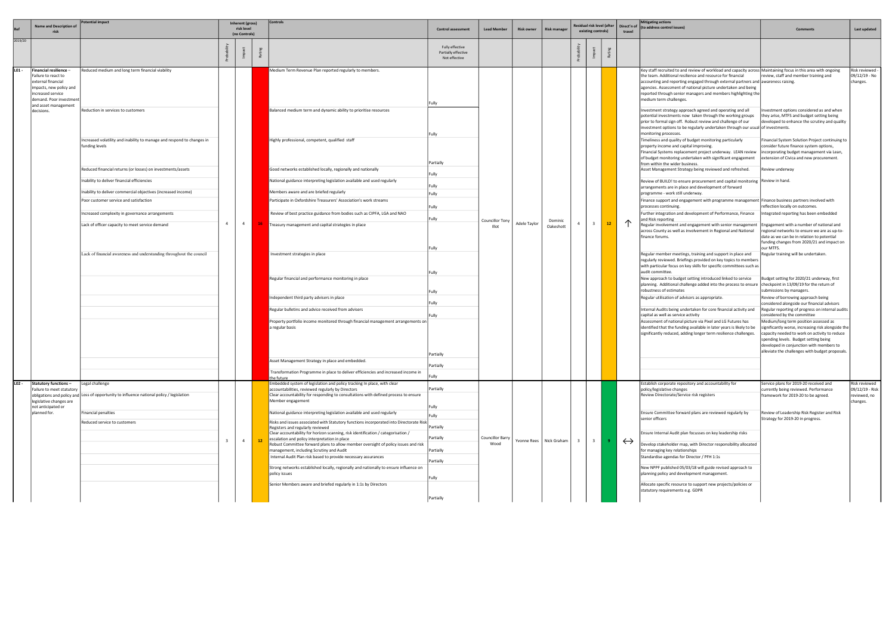|         | <b>Name and Description of</b>                                                                                                                 | 'otential impact                                                                                          |                | Inherent (gross)<br>risk level<br>(no Controls) |                                                                                                                                                              | Controls                                                                                                                                                      |                                                         | <b>Control assessment</b>       | <b>Lead Member</b> | <b>Risk owner</b>    | <b>Risk manager</b> |                         |    | Residual risk level (after<br>existing controls)                                                                                                                                                        |                                                                                                                                                                                                                                                                                                                                                                                                                               | <b>Mitigating actions</b><br>Direct'n of (to address control issues)                                                                                                                 | Comments                                                                               | Last updated |
|---------|------------------------------------------------------------------------------------------------------------------------------------------------|-----------------------------------------------------------------------------------------------------------|----------------|-------------------------------------------------|--------------------------------------------------------------------------------------------------------------------------------------------------------------|---------------------------------------------------------------------------------------------------------------------------------------------------------------|---------------------------------------------------------|---------------------------------|--------------------|----------------------|---------------------|-------------------------|----|---------------------------------------------------------------------------------------------------------------------------------------------------------------------------------------------------------|-------------------------------------------------------------------------------------------------------------------------------------------------------------------------------------------------------------------------------------------------------------------------------------------------------------------------------------------------------------------------------------------------------------------------------|--------------------------------------------------------------------------------------------------------------------------------------------------------------------------------------|----------------------------------------------------------------------------------------|--------------|
| 2019/20 |                                                                                                                                                |                                                                                                           |                |                                                 |                                                                                                                                                              |                                                                                                                                                               | Fully effective<br>Partially effective<br>Not effective |                                 |                    |                      |                     |                         |    |                                                                                                                                                                                                         |                                                                                                                                                                                                                                                                                                                                                                                                                               |                                                                                                                                                                                      |                                                                                        |              |
| L01 -   | Financial resilience -<br>Failure to react to<br>external financial<br>impacts, new policy and<br>increased service<br>demand. Poor investment | Reduced medium and long term financial viability                                                          |                |                                                 |                                                                                                                                                              | Medium Term Revenue Plan reported regularly to members.                                                                                                       | Fully                                                   |                                 |                    |                      |                     |                         |    |                                                                                                                                                                                                         | Key staff recruited to and review of workload and capacity across Maintaining focus in this area with ongoing<br>the team. Additional resilience and resource for financial<br>accounting and reporting engaged through external partners and awareness raising.<br>agencies. Assessment of national picture undertaken and being<br>reported through senior managers and members highlighting the<br>medium term challenges. | review, staff and member training and                                                                                                                                                | Risk reviewed -<br>09/12/19 - No<br>changes.                                           |              |
|         | and asset management<br>decisions.                                                                                                             | Reduction in services to customers                                                                        |                |                                                 |                                                                                                                                                              | Balanced medium term and dynamic ability to prioritise resources                                                                                              | Fully                                                   |                                 |                    |                      |                     |                         |    |                                                                                                                                                                                                         | Investment strategy approach agreed and operating and all<br>potential investments now taken through the working groups<br>prior to formal sign off. Robust review and challenge of our<br>investment options to be regularly undertaken through our usual of investments.<br>monitoring processes.                                                                                                                           | Investment options considered as and when<br>they arise, MTFS and budget setting being<br>developed to enhance the scrutiny and quality                                              |                                                                                        |              |
|         |                                                                                                                                                | Increased volatility and inability to manage and respond to changes in<br>funding levels                  |                |                                                 |                                                                                                                                                              | Highly professional, competent, qualified staff                                                                                                               | Partially                                               |                                 |                    |                      |                     |                         |    |                                                                                                                                                                                                         | Timeliness and quality of budget monitoring particularly<br>property income and capital improving.<br>Financial Systems replacement project underway. LEAN review<br>of budget monitoring undertaken with significant engagement<br>from within the wider business.                                                                                                                                                           | Financial System Solution Project continuing to<br>consider future finance system options,<br>incorporating budget management via Lean,<br>extension of Civica and new procurement.  |                                                                                        |              |
|         |                                                                                                                                                | Reduced financial returns (or losses) on investments/assets<br>nability to deliver financial efficiencies |                |                                                 |                                                                                                                                                              | Good networks established locally, regionally and nationally<br>National guidance interpreting legislation available and used regularly                       | Fully                                                   |                                 |                    |                      |                     |                         |    |                                                                                                                                                                                                         | Asset Management Strategy being reviewed and refreshed.<br>Review of BUILD! to ensure procurement and capital monitoring Review in hand.                                                                                                                                                                                                                                                                                      | Review underway                                                                                                                                                                      |                                                                                        |              |
|         |                                                                                                                                                |                                                                                                           |                |                                                 |                                                                                                                                                              |                                                                                                                                                               | Fully                                                   |                                 |                    |                      |                     |                         |    |                                                                                                                                                                                                         | arrangements are in place and development of forward                                                                                                                                                                                                                                                                                                                                                                          |                                                                                                                                                                                      |                                                                                        |              |
|         |                                                                                                                                                | Inability to deliver commercial objectives (increased income)<br>Poor customer service and satisfaction   |                |                                                 |                                                                                                                                                              | Members aware and are briefed regularly                                                                                                                       | Fully                                                   |                                 |                    |                      |                     |                         |    |                                                                                                                                                                                                         | programme - work still underway.                                                                                                                                                                                                                                                                                                                                                                                              |                                                                                                                                                                                      |                                                                                        |              |
|         |                                                                                                                                                |                                                                                                           |                |                                                 |                                                                                                                                                              | Participate in Oxfordshire Treasurers' Association's work streams                                                                                             | Fully                                                   |                                 |                    |                      |                     |                         |    |                                                                                                                                                                                                         | Finance support and engagement with programme management  Finance business partners involved with<br>processes continuing.                                                                                                                                                                                                                                                                                                    | reflection locally on outcomes.                                                                                                                                                      |                                                                                        |              |
|         |                                                                                                                                                | Increased complexity in governance arrangements                                                           |                |                                                 |                                                                                                                                                              | Review of best practice guidance from bodies such as CIPFA, LGA and NAO                                                                                       |                                                         |                                 |                    |                      |                     |                         |    |                                                                                                                                                                                                         | Further integration and development of Performance, Finance                                                                                                                                                                                                                                                                                                                                                                   | Integrated reporting has been embedded                                                                                                                                               |                                                                                        |              |
|         |                                                                                                                                                | Lack of officer capacity to meet service demand                                                           | $\overline{4}$ | $\overline{4}$                                  |                                                                                                                                                              | Freasury management and capital strategies in place                                                                                                           | Fully                                                   | <b>Councillor Tony</b><br>Illot | Adele Taylor       | Dominic<br>Oakeshott |                     | $\overline{3}$          | 12 |                                                                                                                                                                                                         | and Risk reporting<br>Regular involvement and engagement with senior management<br>across County as well as involvement in Regional and National<br>finance forums.                                                                                                                                                                                                                                                           | Engagement with a number of national and<br>regional networks to ensure we are as up-to-<br>date as we can be in relation to potential<br>funding changes from 2020/21 and impact on |                                                                                        |              |
|         |                                                                                                                                                | Lack of financial awareness and understanding throughout the council                                      |                |                                                 |                                                                                                                                                              | Investment strategies in place                                                                                                                                | Fully                                                   |                                 |                    |                      |                     |                         |    |                                                                                                                                                                                                         | Regular member meetings, training and support in place and<br>regularly reviewed. Briefings provided on key topics to members<br>with particular focus on key skills for specific committees such as<br>audit committee.                                                                                                                                                                                                      | our MTFS.<br>Regular training will be undertaken.                                                                                                                                    |                                                                                        |              |
|         |                                                                                                                                                |                                                                                                           |                |                                                 |                                                                                                                                                              |                                                                                                                                                               | Regular financial and performance monitoring in place   | Fully                           |                    |                      |                     |                         |    |                                                                                                                                                                                                         |                                                                                                                                                                                                                                                                                                                                                                                                                               | New approach to budget setting introduced linked to service<br>planning. Additional challenge added into the process to ensure                                                       | Budget setting for 2020/21 underway, first<br>checkpoint in 13/09/19 for the return of |              |
|         |                                                                                                                                                |                                                                                                           |                |                                                 |                                                                                                                                                              | ndependent third party advisers in place                                                                                                                      | Fully                                                   |                                 |                    |                      |                     |                         |    |                                                                                                                                                                                                         | robustness of estimates<br>Regular utilisation of advisors as appropriate.                                                                                                                                                                                                                                                                                                                                                    | submissions by managers.<br>Review of borrowing approach being                                                                                                                       |                                                                                        |              |
|         |                                                                                                                                                |                                                                                                           |                |                                                 |                                                                                                                                                              |                                                                                                                                                               | Fully                                                   |                                 |                    |                      |                     |                         |    |                                                                                                                                                                                                         |                                                                                                                                                                                                                                                                                                                                                                                                                               | considered alongside our financial advisors                                                                                                                                          |                                                                                        |              |
|         |                                                                                                                                                |                                                                                                           |                |                                                 | Regular bulletins and advice received from advisers<br>Property portfolio income monitored through financial management arrangements on  <br>a regular basis |                                                                                                                                                               |                                                         |                                 |                    |                      |                     |                         |    |                                                                                                                                                                                                         | nternal Audits being undertaken for core financial activity and<br>capital as well as service activity                                                                                                                                                                                                                                                                                                                        | Regular reporting of progress on internal audits<br>considered by the committee                                                                                                      |                                                                                        |              |
|         |                                                                                                                                                |                                                                                                           |                |                                                 |                                                                                                                                                              |                                                                                                                                                               |                                                         |                                 |                    |                      |                     |                         |    | Assessment of national picture via Pixel and LG Futures has<br>identified that the funding available in later years is likely to be<br>significantly reduced, adding longer term resilience challenges. | Medium/long term position assessed as<br>significantly worse, increasing risk alongside the<br>capacity needed to work on activity to reduce<br>spending levels. Budget setting being<br>developed in conjunction with members to<br>alleviate the challenges with budget proposals.                                                                                                                                          |                                                                                                                                                                                      |                                                                                        |              |
|         |                                                                                                                                                |                                                                                                           |                |                                                 |                                                                                                                                                              | Asset Management Strategy in place and embedded.                                                                                                              | Partially                                               |                                 |                    |                      |                     |                         |    |                                                                                                                                                                                                         |                                                                                                                                                                                                                                                                                                                                                                                                                               |                                                                                                                                                                                      |                                                                                        |              |
|         |                                                                                                                                                |                                                                                                           |                |                                                 |                                                                                                                                                              | Transformation Programme in place to deliver efficiencies and increased income in                                                                             | Partially                                               |                                 |                    |                      |                     |                         |    |                                                                                                                                                                                                         |                                                                                                                                                                                                                                                                                                                                                                                                                               |                                                                                                                                                                                      |                                                                                        |              |
|         |                                                                                                                                                |                                                                                                           |                |                                                 |                                                                                                                                                              | he future:                                                                                                                                                    | Fully                                                   |                                 |                    |                      |                     |                         |    |                                                                                                                                                                                                         |                                                                                                                                                                                                                                                                                                                                                                                                                               |                                                                                                                                                                                      |                                                                                        |              |
| LO2 -   | Statutory functions-                                                                                                                           | Legal challenge                                                                                           |                |                                                 |                                                                                                                                                              | Embedded system of legislation and policy tracking In place, with clear                                                                                       | Partially                                               |                                 |                    |                      |                     |                         |    |                                                                                                                                                                                                         | Establish corporate repository and accountability for                                                                                                                                                                                                                                                                                                                                                                         | Service plans for 2019-20 received and                                                                                                                                               | Risk reviewed                                                                          |              |
|         | Failure to meet statutory<br>legislative changes are                                                                                           | obligations and policy and Loss of opportunity to influence national policy / legislation                 |                |                                                 |                                                                                                                                                              | accountabilities, reviewed regularly by Directors<br>Clear accountability for responding to consultations with defined process to ensure<br>Member engagement |                                                         |                                 |                    |                      |                     |                         |    |                                                                                                                                                                                                         | policy/legislative changes<br>Review Directorate/Service risk registers                                                                                                                                                                                                                                                                                                                                                       | currently being reviewed. Performance<br>framework for 2019-20 to be agreed.                                                                                                         | 09/12/19 - Risk<br>reviewed, no<br>changes.                                            |              |
|         | not anticipated or<br>planned for.                                                                                                             | <b>Financial penalties</b>                                                                                |                |                                                 |                                                                                                                                                              | National guidance interpreting legislation available and used regularly                                                                                       | Fully                                                   |                                 |                    |                      |                     |                         |    |                                                                                                                                                                                                         | Ensure Committee forward plans are reviewed regularly by                                                                                                                                                                                                                                                                                                                                                                      | Review of Leadership Risk Register and Risk                                                                                                                                          |                                                                                        |              |
|         |                                                                                                                                                | Reduced service to customers                                                                              |                |                                                 |                                                                                                                                                              | Risks and issues associated with Statutory functions incorporated into Directorate Risk                                                                       | Fully                                                   |                                 |                    |                      |                     |                         |    |                                                                                                                                                                                                         | senior officers                                                                                                                                                                                                                                                                                                                                                                                                               | Strategy for 2019-20 in progress.                                                                                                                                                    |                                                                                        |              |
|         |                                                                                                                                                |                                                                                                           |                |                                                 |                                                                                                                                                              | Registers and regularly reviewed                                                                                                                              | Partially                                               |                                 |                    |                      |                     |                         |    |                                                                                                                                                                                                         |                                                                                                                                                                                                                                                                                                                                                                                                                               |                                                                                                                                                                                      |                                                                                        |              |
|         |                                                                                                                                                |                                                                                                           |                |                                                 |                                                                                                                                                              | Clear accountability for horizon scanning, risk identification / categorisation /                                                                             | Partially                                               | <b>Councillor Barry</b>         |                    |                      |                     |                         |    |                                                                                                                                                                                                         | Ensure Internal Audit plan focusses on key leadership risks                                                                                                                                                                                                                                                                                                                                                                   |                                                                                                                                                                                      |                                                                                        |              |
|         |                                                                                                                                                |                                                                                                           | $\mathbf{R}$   | $\overline{4}$                                  | 12                                                                                                                                                           | escalation and policy interpretation in place<br>Robust Committee forward plans to allow member oversight of policy issues and risk                           |                                                         | Wood                            | Yvonne Rees        | Nick Graham          | $\mathbf{R}$        | $\overline{\mathbf{3}}$ |    | $\leftrightarrow$                                                                                                                                                                                       | Develop stakeholder map, with Director responsibility allocated                                                                                                                                                                                                                                                                                                                                                               |                                                                                                                                                                                      |                                                                                        |              |
|         |                                                                                                                                                |                                                                                                           |                |                                                 |                                                                                                                                                              | management, including Scrutiny and Audit                                                                                                                      | Partially                                               |                                 |                    |                      |                     |                         |    |                                                                                                                                                                                                         | for managing key relationships                                                                                                                                                                                                                                                                                                                                                                                                |                                                                                                                                                                                      |                                                                                        |              |
|         |                                                                                                                                                |                                                                                                           |                |                                                 |                                                                                                                                                              | Internal Audit Plan risk based to provide necessary assurances                                                                                                | Partially                                               |                                 |                    |                      |                     |                         |    |                                                                                                                                                                                                         | Standardise agendas for Director / PFH 1:1s                                                                                                                                                                                                                                                                                                                                                                                   |                                                                                                                                                                                      |                                                                                        |              |
|         |                                                                                                                                                |                                                                                                           |                |                                                 |                                                                                                                                                              | Strong networks established locally, regionally and nationally to ensure influence on                                                                         |                                                         |                                 |                    |                      |                     |                         |    |                                                                                                                                                                                                         | New NPPF published 05/03/18 will guide revised approach to                                                                                                                                                                                                                                                                                                                                                                    |                                                                                                                                                                                      |                                                                                        |              |
|         |                                                                                                                                                |                                                                                                           |                |                                                 |                                                                                                                                                              | policy issues                                                                                                                                                 | Fully                                                   |                                 |                    |                      |                     |                         |    |                                                                                                                                                                                                         | planning policy and development management.                                                                                                                                                                                                                                                                                                                                                                                   |                                                                                                                                                                                      |                                                                                        |              |
|         |                                                                                                                                                |                                                                                                           |                |                                                 |                                                                                                                                                              | Senior Members aware and briefed regularly in 1:1s by Directors                                                                                               |                                                         |                                 |                    |                      |                     |                         |    |                                                                                                                                                                                                         | Allocate specific resource to support new projects/policies or<br>statutory requirements e.g. GDPR                                                                                                                                                                                                                                                                                                                            |                                                                                                                                                                                      |                                                                                        |              |
|         |                                                                                                                                                |                                                                                                           |                |                                                 |                                                                                                                                                              |                                                                                                                                                               | Partially                                               |                                 |                    |                      |                     |                         |    |                                                                                                                                                                                                         |                                                                                                                                                                                                                                                                                                                                                                                                                               |                                                                                                                                                                                      |                                                                                        |              |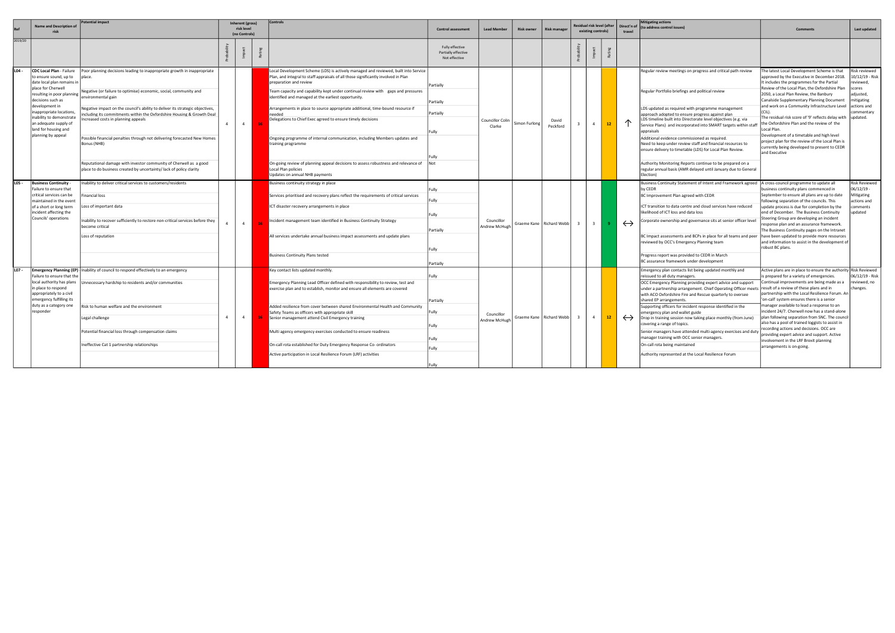|                                       | Name and Description of                                                                              | <b>Potential impact</b>                                                                                                                                                                    |                | Inherent (gross)<br>risk level<br>(no Controls) | Control:                                                                                                                                                                                              | <b>Control assessment</b>                               | <b>Lead Member</b>          | <b>Risk owner</b>          | <b>Risk manager</b> |                         | esidual risk level (after<br>existing controls) |                                                                                                                                          | Direct'n of<br>travel                                                                                       | <b>Mitigating actions</b><br>(to address control issues)                                                                                                                                                                    | Comment:                                                                                                                                                                              | Last updated                                                                                                |                                                                                                                   |  |
|---------------------------------------|------------------------------------------------------------------------------------------------------|--------------------------------------------------------------------------------------------------------------------------------------------------------------------------------------------|----------------|-------------------------------------------------|-------------------------------------------------------------------------------------------------------------------------------------------------------------------------------------------------------|---------------------------------------------------------|-----------------------------|----------------------------|---------------------|-------------------------|-------------------------------------------------|------------------------------------------------------------------------------------------------------------------------------------------|-------------------------------------------------------------------------------------------------------------|-----------------------------------------------------------------------------------------------------------------------------------------------------------------------------------------------------------------------------|---------------------------------------------------------------------------------------------------------------------------------------------------------------------------------------|-------------------------------------------------------------------------------------------------------------|-------------------------------------------------------------------------------------------------------------------|--|
| 2019/20                               |                                                                                                      |                                                                                                                                                                                            |                |                                                 |                                                                                                                                                                                                       | Fully effective<br>Partially effective<br>Not effective |                             |                            |                     |                         |                                                 |                                                                                                                                          |                                                                                                             |                                                                                                                                                                                                                             |                                                                                                                                                                                       |                                                                                                             |                                                                                                                   |  |
| $L04 -$                               | CDC Local Plan - Failure<br>to ensure sound, up to<br>date local plan remains in                     | Poor planning decisions leading to inappropriate growth in inappropriate                                                                                                                   |                |                                                 | Local Development Scheme (LDS) is actively managed and reviewed, built into Service  <br>Plan, and integral to staff appraisals of all those significantly involved in Plan<br>preparation and review | Partially                                               |                             |                            |                     |                         |                                                 |                                                                                                                                          |                                                                                                             | Regular review meetings on progress and critical path review                                                                                                                                                                | The latest Local Development Scheme is that<br>approved by the Executive in December 2018.<br>It includes the programmes for the Partial                                              | Risk reviewed<br>10/12/19 - Risk<br>eviewed,                                                                |                                                                                                                   |  |
|                                       | place for Cherwell<br>resulting in poor planning  <br>decisions such as<br>development in            | Negative (or failure to optimise) economic, social, community and<br>environmental gain                                                                                                    |                |                                                 | eam capacity and capability kept under continual review with gaps and pressures<br>identified and managed at the earliest opportunity.                                                                | Partially                                               |                             |                            |                     |                         |                                                 |                                                                                                                                          |                                                                                                             | Regular Portfolio briefings and political review                                                                                                                                                                            | Review of the Local Plan, the Oxfordshire Plan<br>2050, a Local Plan Review, the Banbury<br>Canalside Supplementary Planning Document<br>and work on a Community Infrastructure Level | cores<br>ıdjusted,<br>mitigating<br>actions and                                                             |                                                                                                                   |  |
|                                       | nappropriate locations,<br>inability to demonstrate<br>an adequate supply of                         | Negative impact on the council's ability to deliver its strategic objectives,<br>cluding its commitments within the Oxfordshire Housing & Growth Deal<br>creased costs in planning appeals | $\overline{4}$ | $\overline{4}$                                  | Arrangements in place to source appropriate additional, time-bound resource if<br>needed<br>Delegations to Chief Exec agreed to ensure timely decisions                                               | Partially                                               | Councillor Colin            | Simon Furlong              | David               |                         | $\overline{a}$                                  | $12-12$                                                                                                                                  |                                                                                                             | LDS updated as required with programme management<br>approach adopted to ensure progress against plan<br>LDS timeline built into Directorate level objectives (e.g. via                                                     | The residual risk score of '9' reflects delay with<br>the Oxfordshire Plan and the review of the                                                                                      | ommentary<br>updated.                                                                                       |                                                                                                                   |  |
|                                       | land for housing and<br>planning by appeal                                                           | Possible financial penalties through not delivering forecasted New Homes<br>Bonus (NHB)                                                                                                    |                |                                                 | Ongoing programme of internal communication, including Members updates and                                                                                                                            |                                                         | Clarke                      |                            | Peckford            |                         |                                                 |                                                                                                                                          |                                                                                                             | Service Plans) and incorporated into SMART targets within staff<br>appraisals<br>Additional evidence commissioned as required.<br>Need to keep under review staff and financial resources to                                | Local Plan.<br>Development of a timetable and high level<br>project plan for the review of the Local Plan is                                                                          |                                                                                                             |                                                                                                                   |  |
|                                       |                                                                                                      |                                                                                                                                                                                            |                |                                                 | training programme                                                                                                                                                                                    |                                                         |                             |                            |                     |                         |                                                 |                                                                                                                                          |                                                                                                             | ensure delivery to timetable (LDS) for Local Plan Review.                                                                                                                                                                   | currently being developed to present to CEDR<br>and Executive                                                                                                                         |                                                                                                             |                                                                                                                   |  |
|                                       | L05 -<br><b>Business Continuity</b>                                                                  | Reputational damage with investor community of Cherwell as a good<br>place to do business created by uncertainty/lack of policy clarity                                                    |                |                                                 | On-going review of planning appeal decisions to assess robustness and relevance of<br>Local Plan policies<br>Updates on annual NHB payments                                                           | Fully                                                   |                             |                            |                     |                         |                                                 | Authority Monitoring Reports continue to be prepared on a<br>regular annual basis (AMR delayed until January due to General<br>Election) |                                                                                                             |                                                                                                                                                                                                                             |                                                                                                                                                                                       |                                                                                                             |                                                                                                                   |  |
|                                       | Failure to ensure that                                                                               | nability to deliver critical services to customers/residents                                                                                                                               |                |                                                 | Business continuity strategy in place                                                                                                                                                                 |                                                         |                             |                            |                     |                         |                                                 |                                                                                                                                          |                                                                                                             | Business Continuity Statement of Intent and Framework agreed   A cross-council programme to update all<br>by CEDR                                                                                                           | ousiness continuity plans commenced in                                                                                                                                                | Risk Reviewed<br>06/12/19 -                                                                                 |                                                                                                                   |  |
|                                       | critical services can be                                                                             | nancial loss                                                                                                                                                                               |                |                                                 | Services prioritised and recovery plans reflect the requirements of critical services                                                                                                                 |                                                         |                             |                            |                     |                         |                                                 |                                                                                                                                          |                                                                                                             | BC Improvement Plan agreed with CEDR                                                                                                                                                                                        | September to ensure all plans are up to date<br>ollowing separation of the councils. This                                                                                             | Aitigating<br>actions and                                                                                   |                                                                                                                   |  |
|                                       | maintained in the event<br>of a short or long term<br>incident affecting the<br>Councils' operations | Loss of important data                                                                                                                                                                     |                |                                                 | ICT disaster recovery arrangements in place                                                                                                                                                           |                                                         |                             |                            |                     |                         |                                                 |                                                                                                                                          | ICT transition to data centre and cloud services have reduced<br>likelihood of ICT loss and data loss       | update process is due for completion by the<br>end of December. The Business Continuity                                                                                                                                     | omments<br>ipdated                                                                                                                                                                    |                                                                                                             |                                                                                                                   |  |
|                                       |                                                                                                      | Inability to recover sufficiently to restore non-critical services before they<br>become critical                                                                                          | $\mathbf{4}$   | $\overline{4}$                                  | Incident management team identified in Business Continuity Strategy                                                                                                                                   | Partially                                               | Councillor<br>Andrew McHugh | Graeme Kane   Richard Webb |                     | $\overline{\mathbf{3}}$ | $\overline{\mathbf{3}}$                         |                                                                                                                                          | $\leftrightarrow$                                                                                           | Corporate ownership and governance sits at senior officer level                                                                                                                                                             | Steering Group are developing an incident<br>esponse plan and an assurance framework.<br>The Business Continuity pages on the Intranet                                                |                                                                                                             |                                                                                                                   |  |
|                                       |                                                                                                      | Loss of reputation                                                                                                                                                                         |                |                                                 | All services undertake annual business impact assessments and update plans                                                                                                                            | Fully                                                   |                             |                            |                     |                         |                                                 |                                                                                                                                          |                                                                                                             |                                                                                                                                                                                                                             |                                                                                                                                                                                       | BC Impact assessments and BCPs in place for all teams and peer<br>reviewed by OCC's Emergency Planning team | have been updated to provide more resources<br>and information to assist in the development o<br>robust BC plans. |  |
|                                       |                                                                                                      |                                                                                                                                                                                            |                |                                                 | <b>Business Continuity Plans tested</b>                                                                                                                                                               |                                                         |                             |                            |                     |                         |                                                 |                                                                                                                                          |                                                                                                             | Progress report was provided to CEDR in March<br>BC assurance framework under development                                                                                                                                   |                                                                                                                                                                                       |                                                                                                             |                                                                                                                   |  |
| LO7 -                                 |                                                                                                      | <b>Emergency Planning (EP)</b> Inability of council to respond effectively to an emergency                                                                                                 |                |                                                 | Key contact lists updated monthly.                                                                                                                                                                    | Partially                                               |                             |                            |                     |                         |                                                 |                                                                                                                                          |                                                                                                             | Emergency plan contacts list being updated monthly and                                                                                                                                                                      | Active plans are in place to ensure the authority Risk Reviewed                                                                                                                       |                                                                                                             |                                                                                                                   |  |
|                                       | Failure to ensure that the<br>local authority has plans<br>in place to respond                       | Innecessary hardship to residents and/or communities                                                                                                                                       |                |                                                 | Emergency Planning Lead Officer defined with responsibility to review, test and<br>exercise plan and to establish, monitor and ensure all elements are covered                                        |                                                         |                             |                            |                     |                         |                                                 |                                                                                                                                          |                                                                                                             | reissued to all duty managers.<br>OCC Emergency Planning providing expert advice and support<br>under a partnership arrangement. Chief Operating Officer meets<br>with ACO Oxfordshire Fire and Rescue quarterly to oversee | s prepared for a variety of emergencies.<br>Continual improvements are being made as a<br>result of a review of these plans and in<br>partnership with the Local Resilience Forum. Ar | 06/12/19 - Risk<br>reviewed, no<br>hanges.                                                                  |                                                                                                                   |  |
| appropriately to a civil<br>responder | emergency fulfilling its<br>duty as a category one                                                   | Risk to human welfare and the environment                                                                                                                                                  |                |                                                 | Added resilience from cover between shared Environmental Health and Community<br>Safety Teams as officers with appropriate skill                                                                      | Partially                                               |                             |                            |                     |                         |                                                 |                                                                                                                                          |                                                                                                             | shared EP arrangements.<br>Supporting officers for incident response identified in the<br>emergency plan and wallet guide                                                                                                   | 'on-call' system ensures there is a senior<br>nanager available to lead a response to an<br>incident 24/7. Cherwell now has a stand-alone                                             |                                                                                                             |                                                                                                                   |  |
|                                       |                                                                                                      | Legal challenge                                                                                                                                                                            | $\overline{4}$ | $\sim$ 4                                        | Senior management attend Civil Emergency training                                                                                                                                                     |                                                         | Councillor<br>Andrew McHugh | Graeme Kane   Richard Webb |                     | $\overline{\mathbf{3}}$ | $\overline{4}$                                  | $12-12$                                                                                                                                  | $\leftrightarrow$                                                                                           | Drop in training session now taking place monthly (from June)<br>covering a range of topics.                                                                                                                                | plan following separation from SNC. The counci<br>also has a pool of trained loggists to assist in                                                                                    |                                                                                                             |                                                                                                                   |  |
|                                       |                                                                                                      | Potential financial loss through compensation claims                                                                                                                                       |                |                                                 | Multi agency emergency exercises conducted to ensure readiness                                                                                                                                        | Fully                                                   |                             |                            |                     |                         |                                                 |                                                                                                                                          | Senior managers have attended multi-agency exercises and duty<br>manager training with OCC senior managers. | recording actions and decisions. OCC are<br>providing expert advice and support. Active<br>involvement in the LRF Brexit planning                                                                                           |                                                                                                                                                                                       |                                                                                                             |                                                                                                                   |  |
|                                       |                                                                                                      | neffective Cat 1 partnership relationships                                                                                                                                                 |                |                                                 | On-call rota established for Duty Emergency Response Co- ordinators                                                                                                                                   | Fully                                                   |                             |                            |                     |                         |                                                 |                                                                                                                                          |                                                                                                             | On-call rota being maintained                                                                                                                                                                                               | arrangements is on-going.                                                                                                                                                             |                                                                                                             |                                                                                                                   |  |
|                                       |                                                                                                      |                                                                                                                                                                                            |                |                                                 | Active participation in Local Resilience Forum (LRF) activities                                                                                                                                       |                                                         |                             |                            |                     |                         |                                                 |                                                                                                                                          |                                                                                                             | Authority represented at the Local Resilience Forum                                                                                                                                                                         |                                                                                                                                                                                       |                                                                                                             |                                                                                                                   |  |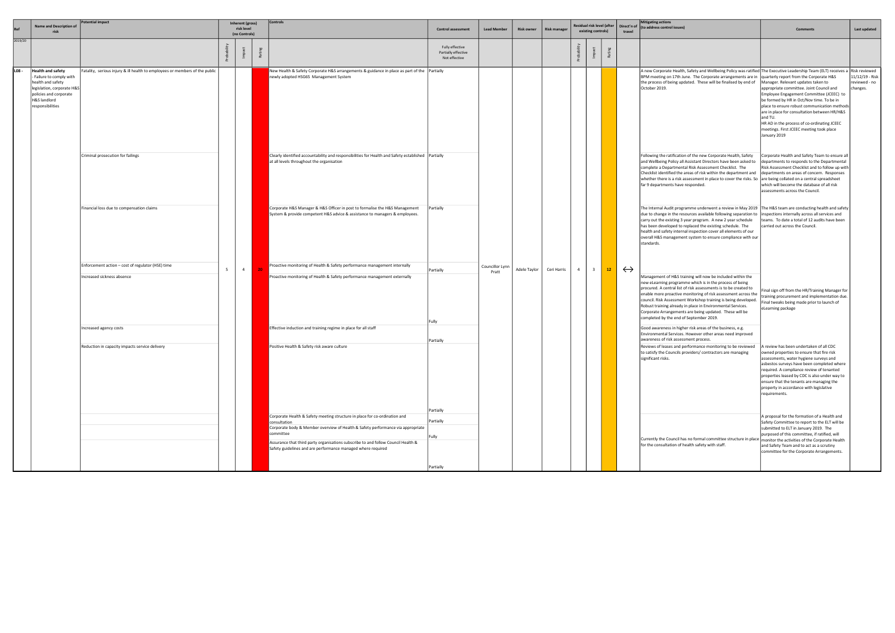| Ref     | <b>Name and Description of</b><br>risk                                                                                                                                | <b>Potential impact</b>                                                         |                                                                                                                                                                                                                                                                                                                                                          | Inherent (gross)<br>risk level<br>(no Controls) |                     | <b>Controls</b>                                                                                                                                                               | <b>Control assessment</b>                               | <b>Lead Member</b> | <b>Risk owner</b> | <b>Risk manager</b>     |                                                                                                                                                                                           | Residual risk level (after<br>existing controls)                                                                                                                                                                                                                                                                                                                                   |                                                                                                                                                                                                                                                                                                                                                                                                                                                                                                     | Direct'n of<br>travel                                                                                                                                              | <b>Mitigating actions</b><br>(to address control issues)                                                                                                                                                                                                                                                                                                                                                                                                                                                     | <b>Comments</b>                                                                                                                                                                                                                                                                                                                                                                               | Last updated                                 |
|---------|-----------------------------------------------------------------------------------------------------------------------------------------------------------------------|---------------------------------------------------------------------------------|----------------------------------------------------------------------------------------------------------------------------------------------------------------------------------------------------------------------------------------------------------------------------------------------------------------------------------------------------------|-------------------------------------------------|---------------------|-------------------------------------------------------------------------------------------------------------------------------------------------------------------------------|---------------------------------------------------------|--------------------|-------------------|-------------------------|-------------------------------------------------------------------------------------------------------------------------------------------------------------------------------------------|------------------------------------------------------------------------------------------------------------------------------------------------------------------------------------------------------------------------------------------------------------------------------------------------------------------------------------------------------------------------------------|-----------------------------------------------------------------------------------------------------------------------------------------------------------------------------------------------------------------------------------------------------------------------------------------------------------------------------------------------------------------------------------------------------------------------------------------------------------------------------------------------------|--------------------------------------------------------------------------------------------------------------------------------------------------------------------|--------------------------------------------------------------------------------------------------------------------------------------------------------------------------------------------------------------------------------------------------------------------------------------------------------------------------------------------------------------------------------------------------------------------------------------------------------------------------------------------------------------|-----------------------------------------------------------------------------------------------------------------------------------------------------------------------------------------------------------------------------------------------------------------------------------------------------------------------------------------------------------------------------------------------|----------------------------------------------|
| 2019/20 |                                                                                                                                                                       |                                                                                 |                                                                                                                                                                                                                                                                                                                                                          |                                                 |                     |                                                                                                                                                                               | Fully effective<br>Partially effective<br>Not effective |                    |                   |                         |                                                                                                                                                                                           |                                                                                                                                                                                                                                                                                                                                                                                    |                                                                                                                                                                                                                                                                                                                                                                                                                                                                                                     |                                                                                                                                                                    |                                                                                                                                                                                                                                                                                                                                                                                                                                                                                                              |                                                                                                                                                                                                                                                                                                                                                                                               |                                              |
| L08 -   | <b>Health and safety</b><br>- Failure to comply with<br>health and safety<br>legislation, corporate H&S<br>policies and corporate<br>H&S landlord<br>responsibilities | Fatality, serious injury & ill health to employees or members of the public     |                                                                                                                                                                                                                                                                                                                                                          |                                                 |                     | New Health & Safety Corporate H&S arrangements & guidance in place as part of the   Partially<br>newly adopted HSG65 Management System                                        |                                                         |                    |                   |                         |                                                                                                                                                                                           |                                                                                                                                                                                                                                                                                                                                                                                    |                                                                                                                                                                                                                                                                                                                                                                                                                                                                                                     |                                                                                                                                                                    | A new Corporate Health, Safety and Wellbeing Policy was ratified The Executive Leadership Team (ELT) receives a Risk reviewed<br>BPM meeting on 17th June. The Corporate arrangements are in  quarterly report from the Corporate H&S<br>the process of being updated. These will be finalised by end of<br>October 2019.                                                                                                                                                                                    | Manager. Relevant updates taken to<br>appropriate committee. Joint Council and<br>Employee Engagement Committee (JCEEC) to<br>be formed by HR in Oct/Nov time. To be in<br>place to ensure robust communication methods<br>are in place for consultation between HR/H&S<br>and TU.<br>HR AD in the process of co-ordinating JCEEC<br>meetings. First JCEEC meeting took place<br>January 2019 | 11/12/19 - Risk<br>reviewed - no<br>changes. |
|         |                                                                                                                                                                       | Criminal prosecution for failings                                               |                                                                                                                                                                                                                                                                                                                                                          |                                                 |                     | Clearly identified accountability and responsibilities for Health and Safety established   Partially<br>at all levels throughout the organisation                             |                                                         |                    |                   |                         |                                                                                                                                                                                           |                                                                                                                                                                                                                                                                                                                                                                                    |                                                                                                                                                                                                                                                                                                                                                                                                                                                                                                     |                                                                                                                                                                    | Following the ratification of the new Corporate Health, Safety<br>and Wellbeing Policy all Assistant Directors have been asked to<br>complete a Departmental Risk Assessment Checklist. The<br>Checklist identified the areas of risk within the department and<br>whether there is a risk assessment in place to cover the risks. So are being collated on a central spreadsheet<br>far 9 departments have responded.                                                                                       | Corporate Health and Safety Team to ensure al<br>departments to responds to the Departmental<br>Risk Assessment Checklist and to follow up with<br>departments on areas of concern. Responses<br>which will become the database of all risk<br>assessments across the Council.                                                                                                                |                                              |
|         |                                                                                                                                                                       | Financial loss due to compensation claims                                       | Corporate H&S Manager & H&S Officer in post to formalise the H&S Management<br>System & provide competent H&S advice & assistance to managers & employees.<br>Proactive monitoring of Health & Safety performance management internally<br>5 <sup>5</sup><br>$\overline{4}$<br>Proactive monitoring of Health & Safety performance management externally |                                                 |                     |                                                                                                                                                                               |                                                         | Partially          |                   |                         |                                                                                                                                                                                           |                                                                                                                                                                                                                                                                                                                                                                                    |                                                                                                                                                                                                                                                                                                                                                                                                                                                                                                     |                                                                                                                                                                    | The Internal Audit programme underwent a review in May 2019   The H&S team are conducting health and safety<br>due to change in the resources available following separation to linspections internally across all services and<br>carry out the existing 3 year program. A new 2 year schedule<br>has been developed to replaced the existing schedule. The<br>health and safety internal inspection cover all elements of our<br>overall H&S management system to ensure compliance with our<br>standards. | teams. To date a total of 12 audits have been<br>carried out across the Council.                                                                                                                                                                                                                                                                                                              |                                              |
|         |                                                                                                                                                                       | Enforcement action – cost of regulator (HSE) time<br>Increased sickness absence |                                                                                                                                                                                                                                                                                                                                                          |                                                 | Partially<br> Fully | Councillor Lynn<br>Pratt                                                                                                                                                      | Adele Taylor                                            | Ceri Harris        | $\overline{4}$    | $\overline{\mathbf{3}}$ | 12                                                                                                                                                                                        | $\leftrightarrow$                                                                                                                                                                                                                                                                                                                                                                  | Management of H&S training will now be included within the<br>new eLearning programme which is in the process of being<br>procured. A central list of risk assessments is to be created to<br>enable more proactive monitoring of risk assessment across the<br>council. Risk Assessment Workshop training is being developed.<br>Robust training already in place in Environmental Services.<br>Corporate Arrangements are being updated. These will be<br>completed by the end of September 2019. | Final sign off from the HR/Training Manager for<br>training procurement and implementation due.<br>Final tweaks being made prior to launch of<br>eLearning package |                                                                                                                                                                                                                                                                                                                                                                                                                                                                                                              |                                                                                                                                                                                                                                                                                                                                                                                               |                                              |
|         |                                                                                                                                                                       | ncreased agency costs                                                           |                                                                                                                                                                                                                                                                                                                                                          |                                                 |                     | Effective induction and training regime in place for all staff                                                                                                                |                                                         |                    |                   |                         |                                                                                                                                                                                           |                                                                                                                                                                                                                                                                                                                                                                                    |                                                                                                                                                                                                                                                                                                                                                                                                                                                                                                     |                                                                                                                                                                    | Good awareness in higher risk areas of the business, e.g.<br>Environmental Services. However other areas need improved                                                                                                                                                                                                                                                                                                                                                                                       |                                                                                                                                                                                                                                                                                                                                                                                               |                                              |
|         |                                                                                                                                                                       | Reduction in capacity impacts service delivery                                  | Partially<br>Positive Health & Safety risk aware culture                                                                                                                                                                                                                                                                                                 |                                                 |                     |                                                                                                                                                                               |                                                         |                    |                   |                         | awareness of risk assessment process.<br>Reviews of leases and performance monitoring to be reviewed<br>to satisfy the Councils providers/ contractors are managing<br>significant risks. | A review has been undertaken of all CDC<br>owned properties to ensure that fire risk<br>assessments, water hygiene surveys and<br>asbestos surveys have been completed where<br>required. A compliance review of tenanted<br>properties leased by CDC is also under way to<br>ensure that the tenants are managing the<br>property in accordance with legislative<br>requirements. |                                                                                                                                                                                                                                                                                                                                                                                                                                                                                                     |                                                                                                                                                                    |                                                                                                                                                                                                                                                                                                                                                                                                                                                                                                              |                                                                                                                                                                                                                                                                                                                                                                                               |                                              |
|         |                                                                                                                                                                       |                                                                                 |                                                                                                                                                                                                                                                                                                                                                          |                                                 |                     | Corporate Health & Safety meeting structure in place for co-ordination and<br>consultation<br>Corporate body & Member overview of Health & Safety performance via appropriate | Partially<br>Partially                                  |                    |                   |                         |                                                                                                                                                                                           |                                                                                                                                                                                                                                                                                                                                                                                    |                                                                                                                                                                                                                                                                                                                                                                                                                                                                                                     |                                                                                                                                                                    |                                                                                                                                                                                                                                                                                                                                                                                                                                                                                                              | A proposal for the formation of a Health and<br>Safety Committee to report to the ELT will be<br>submitted to ELT in January 2019. The                                                                                                                                                                                                                                                        |                                              |
|         |                                                                                                                                                                       |                                                                                 |                                                                                                                                                                                                                                                                                                                                                          |                                                 |                     | committee<br>Assurance that third party organisations subscribe to and follow Council Health &<br>Safety guidelines and are performance managed where required                | Fully                                                   |                    |                   |                         |                                                                                                                                                                                           |                                                                                                                                                                                                                                                                                                                                                                                    |                                                                                                                                                                                                                                                                                                                                                                                                                                                                                                     |                                                                                                                                                                    | Currently the Council has no formal committee structure in place   monitor the activities of the Corporate Health<br>for the consultation of health safety with staff.                                                                                                                                                                                                                                                                                                                                       | purposed of this committee, if ratified, will<br>and Safety Team and to act as a scrutiny<br>committee for the Corporate Arrangements.                                                                                                                                                                                                                                                        |                                              |
|         |                                                                                                                                                                       |                                                                                 |                                                                                                                                                                                                                                                                                                                                                          |                                                 |                     |                                                                                                                                                                               | Partially                                               |                    |                   |                         |                                                                                                                                                                                           |                                                                                                                                                                                                                                                                                                                                                                                    |                                                                                                                                                                                                                                                                                                                                                                                                                                                                                                     |                                                                                                                                                                    |                                                                                                                                                                                                                                                                                                                                                                                                                                                                                                              |                                                                                                                                                                                                                                                                                                                                                                                               |                                              |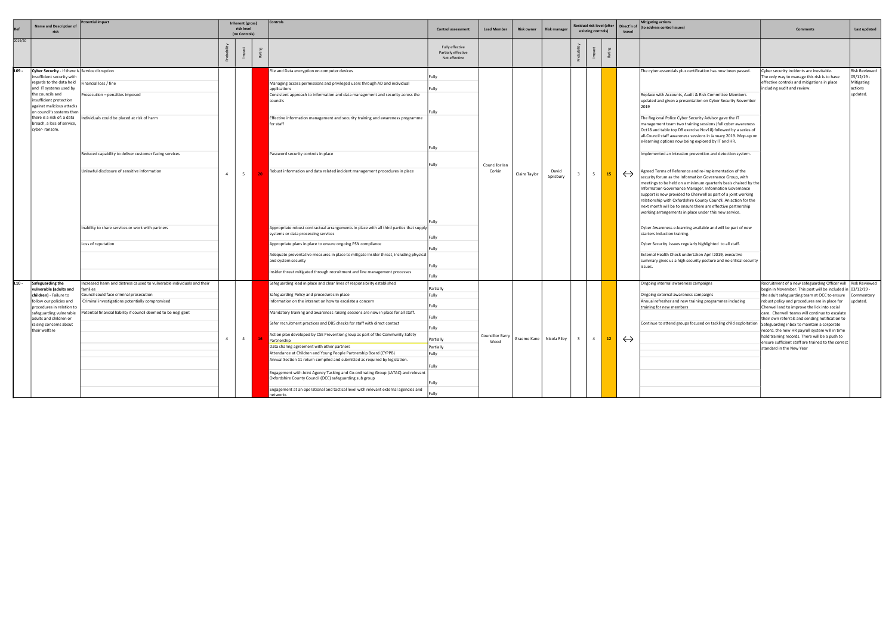|         | Name and Description o<br>risk                                                                                                                                                                                                                                                                                            | 'otential impact                                                                                                                                                                                                                                                                           |                | Inherent (gross)<br>risk level<br>(no Controls) | Controls                                                                                                                                                                                                                                                                                                                                                                                                                                                                                                                                                                                                                                                                                                                                                                                                                                                                                                         | <b>Control assessment</b>                                                                         | <b>Lead Member</b>       | <b>Risk owner</b> | <b>Risk manager</b> |                | Residual risk level (after<br>existing controls) | travel            | <b>Mitigating actions</b><br>Direct'n of (to address control issues)                                                                                                                                                                                                                                                                                                                                                                                                                                                                                                                                                                                                                                                                                                                                                                                                                                                                                                                                                                                                                                                                                                                                                                                                                                                                                                                                   | <b>Comments</b>                                                                                                                                                                                                                                                                                                                                                                                                                                                                                                                                                                                                         | Last updated                                                     |
|---------|---------------------------------------------------------------------------------------------------------------------------------------------------------------------------------------------------------------------------------------------------------------------------------------------------------------------------|--------------------------------------------------------------------------------------------------------------------------------------------------------------------------------------------------------------------------------------------------------------------------------------------|----------------|-------------------------------------------------|------------------------------------------------------------------------------------------------------------------------------------------------------------------------------------------------------------------------------------------------------------------------------------------------------------------------------------------------------------------------------------------------------------------------------------------------------------------------------------------------------------------------------------------------------------------------------------------------------------------------------------------------------------------------------------------------------------------------------------------------------------------------------------------------------------------------------------------------------------------------------------------------------------------|---------------------------------------------------------------------------------------------------|--------------------------|-------------------|---------------------|----------------|--------------------------------------------------|-------------------|--------------------------------------------------------------------------------------------------------------------------------------------------------------------------------------------------------------------------------------------------------------------------------------------------------------------------------------------------------------------------------------------------------------------------------------------------------------------------------------------------------------------------------------------------------------------------------------------------------------------------------------------------------------------------------------------------------------------------------------------------------------------------------------------------------------------------------------------------------------------------------------------------------------------------------------------------------------------------------------------------------------------------------------------------------------------------------------------------------------------------------------------------------------------------------------------------------------------------------------------------------------------------------------------------------------------------------------------------------------------------------------------------------|-------------------------------------------------------------------------------------------------------------------------------------------------------------------------------------------------------------------------------------------------------------------------------------------------------------------------------------------------------------------------------------------------------------------------------------------------------------------------------------------------------------------------------------------------------------------------------------------------------------------------|------------------------------------------------------------------|
| 2019/20 |                                                                                                                                                                                                                                                                                                                           |                                                                                                                                                                                                                                                                                            |                |                                                 |                                                                                                                                                                                                                                                                                                                                                                                                                                                                                                                                                                                                                                                                                                                                                                                                                                                                                                                  | Fully effective<br>Partially effective<br>Not effective                                           |                          |                   |                     |                |                                                  |                   |                                                                                                                                                                                                                                                                                                                                                                                                                                                                                                                                                                                                                                                                                                                                                                                                                                                                                                                                                                                                                                                                                                                                                                                                                                                                                                                                                                                                        |                                                                                                                                                                                                                                                                                                                                                                                                                                                                                                                                                                                                                         |                                                                  |
| L09 -   | Cyber Security - If there is Service disruption<br>insufficient security with<br>regards to the data held<br>and IT systems used by<br>the councils and<br>insufficient protection<br>against malicious attacks<br>on council's systems then<br>there is a risk of: a data<br>breach, a loss of service,<br>cyber-ransom. | inancial loss / fine<br>Prosecution – penalties imposed<br>ndividuals could be placed at risk of harm<br>Reduced capability to deliver customer facing services<br>Unlawful disclosure of sensitive information<br>Inability to share services or work with partners<br>Loss of reputation | $\overline{a}$ | 5 <sup>5</sup>                                  | File and Data encryption on computer devices<br>Managing access permissions and privileged users through AD and individual<br>applications<br>Consistent approach to information and data management and security across the<br>councils<br>Effective information management and security training and awareness programme<br>for staff<br>Password security controls in place<br>Robust information and data related incident management procedures in place<br>Appropriate robust contractual arrangements in place with all third parties that supply<br>systems or data processing services<br>Appropriate plans in place to ensure ongoing PSN compliance<br>Adequate preventative measures in place to mitigate insider threat, including physical<br>and system security<br>Insider threat mitigated through recruitment and line management processes                                                    | Fully<br>Fully<br>-ully<br>Fully<br>Fully<br>iullv<br>Fully<br>Fully                              | Councillor Ian<br>Corkin | Claire Taylor     | David<br>Spilsbury  | 5              | 15                                               | $\leftrightarrow$ | The cyber-essentials plus certification has now been passed.<br>Replace with Accounts, Audit & Risk Committee Members<br>updated and given a presentation on Cyber Security November<br>2019<br>The Regional Police Cyber Security Advisor gave the IT<br>management team two training sessions (full cyber awareness<br>Oct18 and table top DR exercise Nov18) followed by a series of<br>all-Council staff awareness sessions in January 2019. Mop-up on<br>e-learning options now being explored by IT and HR.<br>mplemented an intrusion prevention and detection system.<br>Agreed Terms of Reference and re-implementation of the<br>security forum as the Information Governance Group, with<br>meetings to be held on a minimum quarterly basis chaired by the<br>Information Governance Manager. Information Governance<br>support is now provided to Cherwell as part of a joint working<br>relationship with Oxfordshire County Council. An action for the<br>next month will be to ensure there are effective partnership<br>working arrangements in place under this new service.<br>Cyber Awareness e-learning available and will be part of new<br>starters induction training.<br>Cyber Security issues regularly highlighted to all staff.<br>External Health Check undertaken April 2019, executive<br>summary gives us a high security posture and no critical security<br>lissues. | Cyber security incidents are inevitable.<br>The only way to manage this risk is to have<br>effective controls and mitigations in place<br>including audit and review.                                                                                                                                                                                                                                                                                                                                                                                                                                                   | Risk Reviewed<br>05/12/19 -<br>Mitigating<br>actions<br>updated. |
| $L10 -$ | Safeguarding the<br>vulnerable (adults and<br>children) - Failure to<br>follow our policies and<br>procedures in relation to<br>safeguarding vulnerable<br>adults and children or<br>raising concerns about<br>their welfare                                                                                              | າcreased harm and distress caused to vulnerable individuals and their<br>amilies<br>council could face criminal prosecution<br>Criminal investigations potentially compromised<br>otential financial liability if council deemed to be negligent                                           | $\overline{4}$ | $\overline{4}$                                  | Safeguarding lead in place and clear lines of responsibility established<br>Safeguarding Policy and procedures in place<br>Information on the intranet on how to escalate a concern<br>Mandatory training and awareness raising sessions are now in place for all staff.<br>Safer recruitment practices and DBS checks for staff with direct contact<br>Action plan developed by CSE Prevention group as part of the Community Safety<br>Partnership<br>Data sharing agreement with other partners<br>Attendance at Children and Young People Partnership Board (CYPPB)<br>Annual Section 11 return compiled and submitted as required by legislation.<br>Engagement with Joint Agency Tasking and Co-ordinating Group (JATAC) and relevant<br>Oxfordshire County Council (OCC) safeguarding sub group<br>Engagement at an operational and tactical level with relevant external agencies and<br><b>networks</b> | Partially<br>Fully<br>ully-<br>Fully<br>Fully<br>Partially<br>Partially<br>Fully<br>ully<br>sully | Councillor Barry<br>Wood | Graeme Kane       | Nicola Riley        | $\overline{4}$ | $12-12$                                          | $\leftrightarrow$ | Ongoing internal awareness campaigns<br>Ongoing external awareness campaigns<br>Annual refresher and new training programmes including<br>training for new members<br>Continue to attend groups focused on tackling child exploitation                                                                                                                                                                                                                                                                                                                                                                                                                                                                                                                                                                                                                                                                                                                                                                                                                                                                                                                                                                                                                                                                                                                                                                 | Recruitment of a new safeguarding Officer will   Risk Reviewed<br>begin in November. This post will be included in 03/12/19 -<br>the adult safeguarding team at OCC to ensure<br>robust policy and procedures are in place for<br>Cherwell and to improve the lick into social<br>care. Cherwell teams will continue to escalate<br>their own referrals and sending notification to<br>Safeguarding inbox to maintain a corporate<br>record. the new HR payroll system will in time<br>hold training records. There will be a push to<br>ensure sufficient staff are trained to the correct<br>standard in the New Year | Commentary<br>updated.                                           |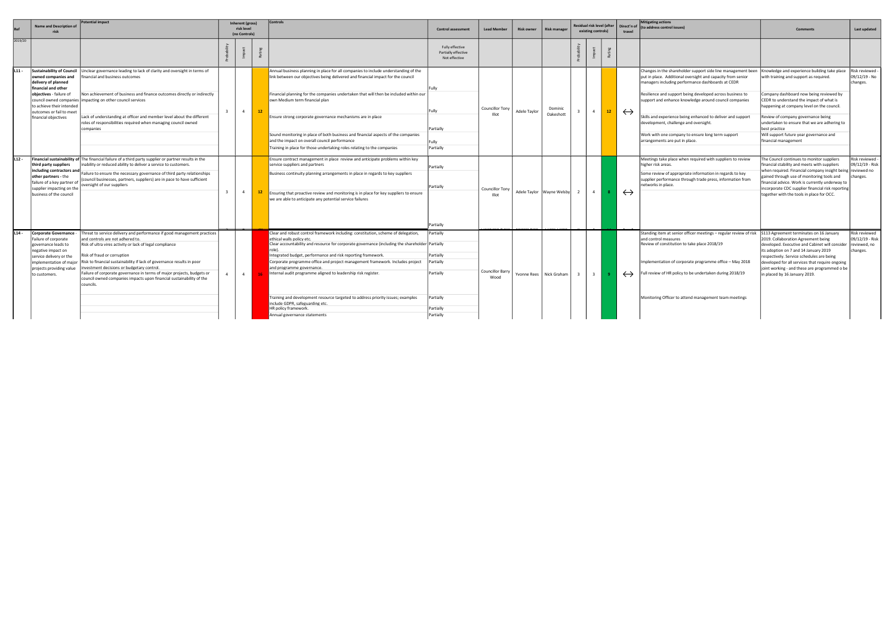|         | <b>Name and Description of</b><br>risk                                                                                                                                        | <b>Potential impact</b>                                                                                                                                                                                                                                                                                                                                                                                                                                                                                                | Inherent (gross)<br>risk level<br>(no Controls) |                |                      | <b>Controls</b>                                                                                                                                                                                                                                                                                                                                                                                                                                                                                                                                                                                                                                  | <b>Control assessment</b>                                                               | <b>Lead Member</b>              | <b>Risk owner</b> | <b>Risk manager</b>         | Residual risk level (after<br>existing controls) |    | travel            | <b>Mitigating actions</b><br>Direct'n of (to address control issues)                                                                                                                                                                                                                                                                                                                                                                                                                                                                                  | <b>Comments</b>                                                                                                                                                                                                                                                                                                                                           | Last updated                                                 |
|---------|-------------------------------------------------------------------------------------------------------------------------------------------------------------------------------|------------------------------------------------------------------------------------------------------------------------------------------------------------------------------------------------------------------------------------------------------------------------------------------------------------------------------------------------------------------------------------------------------------------------------------------------------------------------------------------------------------------------|-------------------------------------------------|----------------|----------------------|--------------------------------------------------------------------------------------------------------------------------------------------------------------------------------------------------------------------------------------------------------------------------------------------------------------------------------------------------------------------------------------------------------------------------------------------------------------------------------------------------------------------------------------------------------------------------------------------------------------------------------------------------|-----------------------------------------------------------------------------------------|---------------------------------|-------------------|-----------------------------|--------------------------------------------------|----|-------------------|-------------------------------------------------------------------------------------------------------------------------------------------------------------------------------------------------------------------------------------------------------------------------------------------------------------------------------------------------------------------------------------------------------------------------------------------------------------------------------------------------------------------------------------------------------|-----------------------------------------------------------------------------------------------------------------------------------------------------------------------------------------------------------------------------------------------------------------------------------------------------------------------------------------------------------|--------------------------------------------------------------|
| 2019/20 |                                                                                                                                                                               |                                                                                                                                                                                                                                                                                                                                                                                                                                                                                                                        |                                                 |                |                      |                                                                                                                                                                                                                                                                                                                                                                                                                                                                                                                                                                                                                                                  | Fully effective<br>Partially effective<br>Not effective                                 |                                 |                   |                             |                                                  |    |                   |                                                                                                                                                                                                                                                                                                                                                                                                                                                                                                                                                       |                                                                                                                                                                                                                                                                                                                                                           |                                                              |
| L11 -   | owned companies and<br>delivery of planned<br>financial and other<br>objectives - failure of<br>to achieve their intended<br>outcomes or fail to meet<br>financial objectives | Sustainability of Council   Unclear governance leading to lack of clarity and oversight in terms of<br>financial and business outcomes<br>Non achievement of business and finance outcomes directly or indirectly<br>council owned companies   impacting on other council services<br>Lack of understanding at officer and member level about the different<br>roles of responsibilities required when managing council owned<br>companies                                                                             | $\mathbf{R}$                                    |                | $\overline{4}$<br>12 | Annual business planning in place for all companies to include understanding of the<br>link between our objectives being delivered and financial impact for the council<br>Financial planning for the companies undertaken that will then be included within our<br>own Medium term financial plan<br>Ensure strong corporate governance mechanisms are in place<br>Sound monitoring in place of both business and financial aspects of the companies<br>and the impact on overall council performance<br>Training in place for those undertaking roles relating to the companies                                                                | Fully<br>Fully<br>Partially<br>Fully<br>Partially                                       | Councillor Tony<br>Illot        | Adele Taylor      | Dominic<br>Oakeshott        | $\overline{4}$                                   | 12 | $\leftrightarrow$ | Changes in the shareholder support side line management been   Knowledge and experience building take place<br>put in place. Additional oversight and capacity from senior<br>managers including performance dashboards at CEDR<br>Resilience and support being developed across business to<br>support and enhance knowledge around council companies<br>Skills and experience being enhanced to deliver and support<br>development, challenge and oversight.<br>Work with one company to ensure long term support<br>arrangements are put in place. | with training and support as required.<br>Company dashboard now being reviewed by<br>CEDR to understand the impact of what is<br>happening at company level on the council.<br>Review of company governance being<br>undertaken to ensure that we are adhering to<br>best practice<br>Will support future year governance and<br>financial management     | Risk reviewed -<br>09/12/19 - No<br>changes.                 |
| L12 -   | third party suppliers<br>including contractors and<br>other partners - the<br>failure of a key partner of<br>supplier impacting on the<br>business of the council             | Financial sustainability of The financial failure of a third party supplier or partner results in the<br>inability or reduced ability to deliver a service to customers.<br>Failure to ensure the necessary governance of third party relationships<br>(council businesses, partners, suppliers) are in pace to have sufficient<br>oversight of our suppliers                                                                                                                                                          | $\mathbf{R}$                                    | $\overline{4}$ |                      | Ensure contract management in place review and anticipate problems within key<br>service suppliers and partners<br>Business continuity planning arrangements in place in regards to key suppliers<br>Ensuring that proactive review and monitoring is in place for key suppliers to ensure<br>we are able to anticipate any potential service failures                                                                                                                                                                                                                                                                                           | Partially<br>Partially<br>Partially                                                     | <b>Councillor Tony</b><br>Illot |                   | Adele Taylor   Wayne Welsby | $\sim$ 4                                         |    | $\leftrightarrow$ | Meetings take place when required with suppliers to review<br>higher risk areas.<br>Some review of appropriate information in regards to key<br>supplier performance through trade press, information from<br>etworks in place.                                                                                                                                                                                                                                                                                                                       | The Council continues to monitor suppliers<br>inancial stability and meets with suppliers<br>when required. Financial company insight being  reviewed no<br>gained through use of monitoring tools and<br>inancial advice. Work is currently underway to<br>ncorporate CDC supplier financial risk reporting<br>together with the tools in place for OCC. | Risk reviewed -<br>09/12/19 - Risk<br>changes.               |
| $L14 -$ | Corporate Governance -<br>Failure of corporate<br>governance leads to<br>negative impact on<br>service delivery or the<br>projects providing value<br>to customers.           | Threat to service delivery and performance if good management practices<br>and controls are not adhered to.<br>Risk of ultra vires activity or lack of legal compliance<br>Risk of fraud or corruption<br>implementation of major   Risk to financial sustainability if lack of governance results in poor<br>nvestment decisions or budgetary control.<br>Failure of corporate governance in terms of major projects, budgets or<br>council owned companies impacts upon financial sustainability of the<br>councils. |                                                 |                | $\overline{4}$       | Clear and robust control framework including: constitution, scheme of delegation,<br>ethical walls policy etc.<br>Clear accountability and resource for corporate governance (including the shareholder   Partially<br>Integrated budget, performance and risk reporting framework.<br>Corporate programme office and project management framework. Includes project<br>and programme governance.<br>Internal audit programme aligned to leadership risk register.<br>Training and development resource targeted to address priority issues; examples<br>include GDPR, safeguarding etc.<br>HR policy framework.<br>Annual governance statements | Partially<br>Partially<br>Partially<br>Partially<br>Partially<br>Partially<br>Partially | Councillor Barry<br>Wood        |                   | Yvonne Rees   Nick Graham   | $\overline{\mathbf{3}}$                          |    | $\leftrightarrow$ | Standing item at senior officer meetings - regular review of risk S113 Agreement terminates on 16 January<br>and control measures<br>Review of constitution to take place 2018/19<br>Implementation of corporate programme office - May 2018<br>Full review of HR policy to be undertaken during 2018/19<br>Monitoring Officer to attend management team meetings                                                                                                                                                                                     | 2019. Collaboration Agreement being<br>developed. Executive and Cabinet will consider<br>its adoption on 7 and 14 January 2019<br>respectively. Service schedules are being<br>developed for all services that require ongoing<br>joint working - and these are programmed o be<br>in placed by 16 January 2019.                                          | Risk reviewed<br>09/12/19 - Risk<br>reviewed, no<br>changes. |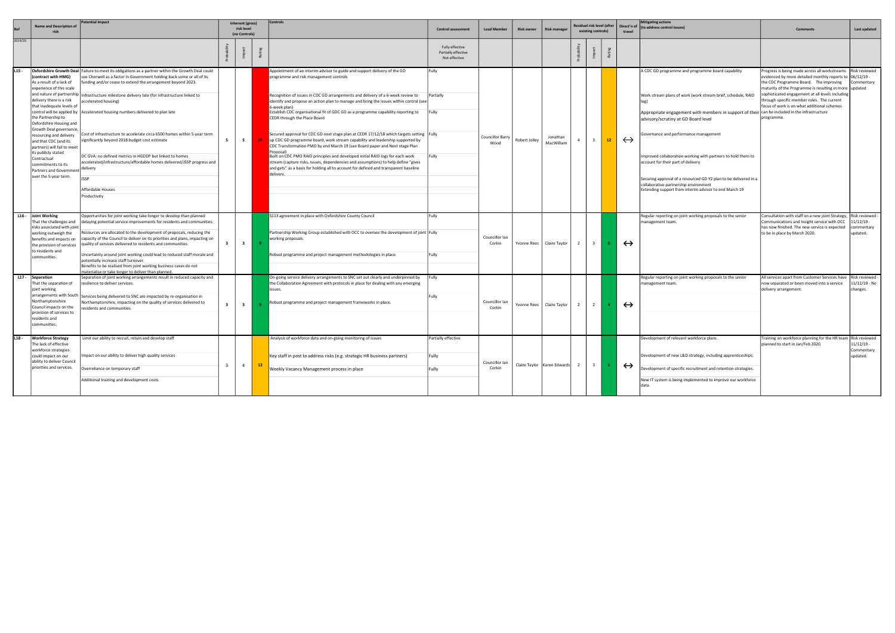|         |                                                                                                                                                                                                                                                                                                                                                                                                                     | otential impact                                                                                                                                                                                                                                                                                                                                                                                                                                                                                                                                                                                                                                                                                                                                                                                     |                         | <b>Inherent (gross)</b>     |     | Controls                                                                                                                                                                                                                                                                                                                                                                                                                                                                                                                                                                                                                                                                                                                                                                                                                                                                                                                                                                                    |                                                         |                          |                   |                                   |                | Residual risk level (after |                 |                   | <b>Mitigating actions</b>                                                                                                                                                                                                                                                                                                                                                                                                                                                                                                                                                           |                                                                                                                                                                                                                                                                                                                                                           |                                                         |
|---------|---------------------------------------------------------------------------------------------------------------------------------------------------------------------------------------------------------------------------------------------------------------------------------------------------------------------------------------------------------------------------------------------------------------------|-----------------------------------------------------------------------------------------------------------------------------------------------------------------------------------------------------------------------------------------------------------------------------------------------------------------------------------------------------------------------------------------------------------------------------------------------------------------------------------------------------------------------------------------------------------------------------------------------------------------------------------------------------------------------------------------------------------------------------------------------------------------------------------------------------|-------------------------|-----------------------------|-----|---------------------------------------------------------------------------------------------------------------------------------------------------------------------------------------------------------------------------------------------------------------------------------------------------------------------------------------------------------------------------------------------------------------------------------------------------------------------------------------------------------------------------------------------------------------------------------------------------------------------------------------------------------------------------------------------------------------------------------------------------------------------------------------------------------------------------------------------------------------------------------------------------------------------------------------------------------------------------------------------|---------------------------------------------------------|--------------------------|-------------------|-----------------------------------|----------------|----------------------------|-----------------|-------------------|-------------------------------------------------------------------------------------------------------------------------------------------------------------------------------------------------------------------------------------------------------------------------------------------------------------------------------------------------------------------------------------------------------------------------------------------------------------------------------------------------------------------------------------------------------------------------------------|-----------------------------------------------------------------------------------------------------------------------------------------------------------------------------------------------------------------------------------------------------------------------------------------------------------------------------------------------------------|---------------------------------------------------------|
|         | <b>Name and Description of</b><br>risk                                                                                                                                                                                                                                                                                                                                                                              |                                                                                                                                                                                                                                                                                                                                                                                                                                                                                                                                                                                                                                                                                                                                                                                                     |                         | risk level<br>(no Controls) |     |                                                                                                                                                                                                                                                                                                                                                                                                                                                                                                                                                                                                                                                                                                                                                                                                                                                                                                                                                                                             | <b>Control assessment</b>                               | <b>Lead Member</b>       | <b>Risk owner</b> | <b>Risk manager</b>               |                | existing controls)         |                 | travel            | Direct'n of (to address control issues)                                                                                                                                                                                                                                                                                                                                                                                                                                                                                                                                             | <b>Comments</b>                                                                                                                                                                                                                                                                                                                                           | Last updated                                            |
| 2019/20 |                                                                                                                                                                                                                                                                                                                                                                                                                     |                                                                                                                                                                                                                                                                                                                                                                                                                                                                                                                                                                                                                                                                                                                                                                                                     |                         |                             | Rat |                                                                                                                                                                                                                                                                                                                                                                                                                                                                                                                                                                                                                                                                                                                                                                                                                                                                                                                                                                                             | Fully effective<br>Partially effective<br>Not effective |                          |                   |                                   |                |                            |                 |                   |                                                                                                                                                                                                                                                                                                                                                                                                                                                                                                                                                                                     |                                                                                                                                                                                                                                                                                                                                                           |                                                         |
| $L15 -$ | (contract with HMG)<br>As a result of a lack of<br>experience of this scale<br>delivery there is a risk<br>that inadequate levels of<br>the Partnership to<br>Oxfordshire Housing and<br>Growth Deal governance,<br>resourcing and delivery<br>and that CDC (and its<br>partners) will fail to meet<br>its publicly stated<br>Contractual<br>commitments to its<br>Partners and Government<br>over the 5-year term. | <b>Oxfordshire Growth Deal   Failure to meet its obligations as a partner within the Growth Deal could</b><br>see Cherwell as a factor in Government holding back some or all of its<br>funding and/or cease to extend the arrangement beyond 2023.<br>and nature of partnership   Infrastructure milestone delivery late (for infrastructure linked to<br>ccelerated housing)<br>control will be applied by Accelerated housing numbers delivered to plan late<br>Cost of infrastructure to accelerate circa 6500 homes within 5-year term<br>significantly beyond 2018 budget cost estimate<br>DC GVA: no defined metrics in HGDDP but linked to homes<br>accelerated/infrastructure/affordable homes delivered/JSSP progress and<br>delivery<br><b>JSSP</b><br>Affordable Houses<br>Productivity | -5                      | 5 <sub>1</sub>              |     | Appointment of an interim advisor to guide and support delivery of the GD<br>programme and risk management controls<br>Recognition of issues in CDC GD arrangements and delivery of a 6-week review to<br>identify and propose an action plan to manage and bring the issues within control (see<br>6-week plan)<br>Establish CDC organisational fit of GDC GD as a programme capability reporting to<br>CEDR through the Place Board<br>Secured approval for CDC GD next stage plan at CEDR 17/12/18 which targets setting Fully<br>up CDC GD programme board, work stream capability and leadership supported by<br>CDC Transformation PMO by end March 19 (see Board paper and Next stage Plan<br>Proposal)<br>Built on CDC PMO RAID principles and developed initial RAID logs for each work<br>stream (capture risks, issues, dependencies and assumptions) to help define "gives<br>and gets" as a basis for holding all to account for defined and transparent baseline<br>deliverv. | Fully<br>Partially<br>Fully<br>Fully                    | Councillor Barry<br>Wood | Robert Jolley     | Jonathan<br>MacWilliam            | $\overline{4}$ | $\overline{\mathbf{3}}$    | 12 <sub>1</sub> | $\leftrightarrow$ | A CDC GD programme and programme board capability<br>Work stream plans of work (work stream brief, schedule, RAID<br>Appropriate engagement with members in support of their $ $ can be included in the infrastructure<br>advisory/scrutiny at GD Board level<br>Governance and performance management<br>Improved collaboration working with partners to hold them to<br>account for their part of delivery<br>Securing approval of a resourced GD Y2 plan to be delivered in a<br>collaborative partnership environment<br>Extending support from interim advisor to end March 19 | rogress is being made across all workstreams'<br>evidenced by more detailed monthly reports to<br>the CDC Programme Board. The improving<br>maturity of the Programme is resulting in more<br>sophisticated engagement at all levels including<br>through specific member roles. The current<br>focus of work is on what additional schemes<br>programme. | Risk reviewed<br>$06/12/19 -$<br>ommentary<br>updated   |
|         | L16 - Joint Working<br>That the challenges and<br>risks associated with joint<br>working outweigh the<br>benefits and impacts on<br>the provision of services<br>to residents and<br>communities.                                                                                                                                                                                                                   | Opportunities for joint working take longer to develop than planned<br>delaying potential service improvements for residents and communities.<br>esources are allocated to the development of proposals, reducing the<br>capacity of the Council to deliver on its priorities and plans, impacting on<br>quality of services delivered to residents and communities.<br>Uncertainty around joint working could lead to reduced staff morale and<br>potentially increase staff turnover.<br>Benefits to be realised from joint working business cases do not                                                                                                                                                                                                                                         | $\overline{\mathbf{3}}$ | $\overline{\mathbf{3}}$     | -9  | S113 agreement in place with Oxfordshire County Council<br>Partnership Working Group established with OCC to oversee the development of joint Fully<br>working proposals.<br>Robust programme and project management methodologies in place.                                                                                                                                                                                                                                                                                                                                                                                                                                                                                                                                                                                                                                                                                                                                                | Fully<br>Fully                                          | Councillor Ian<br>Corkin |                   | Yvonne Rees   Claire Taylor       | 2              | $\overline{\mathbf{3}}$    |                 | $\leftrightarrow$ | Regular reporting on joint working proposals to the senior<br>management team.                                                                                                                                                                                                                                                                                                                                                                                                                                                                                                      | Consultation with staff on a new joint Strategy,<br>Communications and Insight service with OCC<br>has now finished. The new service is expected<br>to be in place by March 2020.                                                                                                                                                                         | Risk reviewed -<br>- 19/12/19.<br>ommentary<br>updated. |
| $L17 -$ | Separation<br>That the separation of<br>joint working<br>arrangements with South<br>Northamptonshire<br>Council impacts on the<br>provision of services to<br>residents and<br>communities.                                                                                                                                                                                                                         | naterialise or take longer to deliver than planned.<br>Separation of joint working arrangements result in reduced capacity and<br>resilience to deliver services.<br>Services being delivered to SNC are impacted by re-organisation in<br>Northamptonshire, impacting on the quality of services delivered to<br>esidents and communities                                                                                                                                                                                                                                                                                                                                                                                                                                                          | $\overline{\mathbf{3}}$ | $\overline{\mathbf{3}}$     |     | On-going service delivery arrangements to SNC set out clearly and underpinned by<br>the Collaboration Agreement with protocols in place for dealing with any emerging<br>issues.<br>Robust programme and project management frameworks in place.                                                                                                                                                                                                                                                                                                                                                                                                                                                                                                                                                                                                                                                                                                                                            | Fully<br>l Fullv                                        | Councillor Ian<br>Corkin |                   | Yvonne Rees   Claire Taylor       | 2              | $\overline{2}$             |                 | $\leftrightarrow$ | Regular reporting on joint working proposals to the senior<br>management team.                                                                                                                                                                                                                                                                                                                                                                                                                                                                                                      | All services apart from Customer Services have<br>now separated or been moved into a service<br>delivery arrangement.                                                                                                                                                                                                                                     | Risk reviewed -<br>1/12/19 - No<br>hanges.              |
| $L18 -$ | <b>Workforce Strategy</b><br>The lack of effective<br>workforce strategies<br>could impact on our<br>ability to deliver Council<br>priorities and services.                                                                                                                                                                                                                                                         | Limit our ability to recruit, retain and develop staff<br>mpact on our ability to deliver high quality services<br>Overreliance on temporary staff<br>Additional training and development costs                                                                                                                                                                                                                                                                                                                                                                                                                                                                                                                                                                                                     | $\overline{\mathbf{3}}$ | $\overline{4}$              |     | Analysis of workforce data and on-going monitoring of issues<br>Key staff in post to address risks (e.g. strategic HR business partners)<br>Weekly Vacancy Management process in place                                                                                                                                                                                                                                                                                                                                                                                                                                                                                                                                                                                                                                                                                                                                                                                                      | Partially effective<br>Fully<br>Fully                   | Councillor Ian<br>Corkin |                   | Claire Taylor   Karen Edwards   2 |                | $\overline{\mathbf{3}}$    |                 | $\leftrightarrow$ | Development of relevant workforce plans.<br>Development of new L&D strategy, including apprenticeships.<br>Development of specific recruitment and retention strategies.<br>New IT system is being implemented to improve our workforce                                                                                                                                                                                                                                                                                                                                             | Training on workforce planning for the HR team Risk reviewed<br>planned to start in Jan/Feb 2020.                                                                                                                                                                                                                                                         | 11/12/19 -<br>Commentary<br>indated.                    |